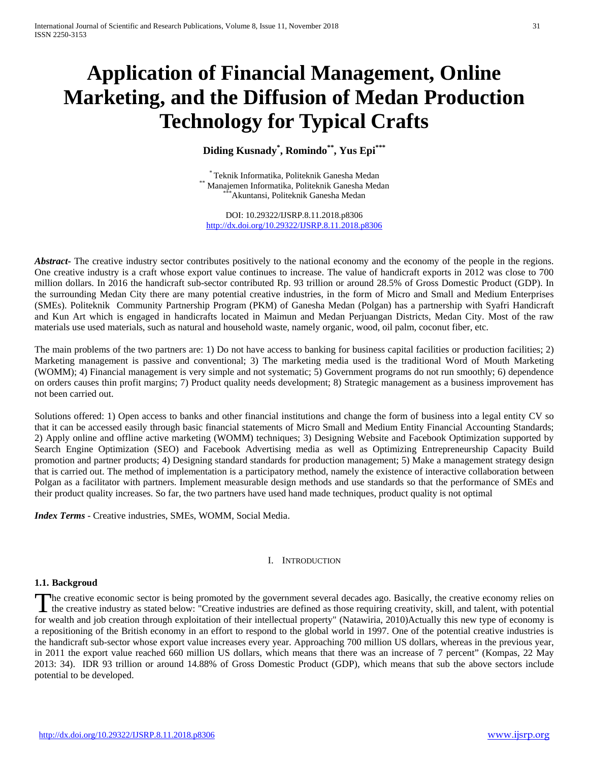# **Application of Financial Management, Online Marketing, and the Diffusion of Medan Production Technology for Typical Crafts**

**Diding Kusnady\* , Romindo\*\*, Yus Epi\*\*\***

\* Teknik Informatika, Politeknik Ganesha Medan<br>Manajemen Informatika, Politeknik Ganesha Medan<br>\*\*\*Akuntansi, Politeknik Ganesha Medan

DOI: 10.29322/IJSRP.8.11.2018.p8306 <http://dx.doi.org/10.29322/IJSRP.8.11.2018.p8306>

*Abstract* The creative industry sector contributes positively to the national economy and the economy of the people in the regions. One creative industry is a craft whose export value continues to increase. The value of handicraft exports in 2012 was close to 700 million dollars. In 2016 the handicraft sub-sector contributed Rp. 93 trillion or around 28.5% of Gross Domestic Product (GDP). In the surrounding Medan City there are many potential creative industries, in the form of Micro and Small and Medium Enterprises (SMEs). Politeknik Community Partnership Program (PKM) of Ganesha Medan (Polgan) has a partnership with Syafri Handicraft and Kun Art which is engaged in handicrafts located in Maimun and Medan Perjuangan Districts, Medan City. Most of the raw materials use used materials, such as natural and household waste, namely organic, wood, oil palm, coconut fiber, etc.

The main problems of the two partners are: 1) Do not have access to banking for business capital facilities or production facilities; 2) Marketing management is passive and conventional; 3) The marketing media used is the traditional Word of Mouth Marketing (WOMM); 4) Financial management is very simple and not systematic; 5) Government programs do not run smoothly; 6) dependence on orders causes thin profit margins; 7) Product quality needs development; 8) Strategic management as a business improvement has not been carried out.

Solutions offered: 1) Open access to banks and other financial institutions and change the form of business into a legal entity CV so that it can be accessed easily through basic financial statements of Micro Small and Medium Entity Financial Accounting Standards; 2) Apply online and offline active marketing (WOMM) techniques; 3) Designing Website and Facebook Optimization supported by Search Engine Optimization (SEO) and Facebook Advertising media as well as Optimizing Entrepreneurship Capacity Build promotion and partner products; 4) Designing standard standards for production management; 5) Make a management strategy design that is carried out. The method of implementation is a participatory method, namely the existence of interactive collaboration between Polgan as a facilitator with partners. Implement measurable design methods and use standards so that the performance of SMEs and their product quality increases. So far, the two partners have used hand made techniques, product quality is not optimal

*Index Terms* - Creative industries, SMEs, WOMM, Social Media.

### I. INTRODUCTION

## **1.1. Backgroud**

he creative economic sector is being promoted by the government several decades ago. Basically, the creative economy relies on The creative economic sector is being promoted by the government several decades ago. Basically, the creative economy relies on the creative industry as stated below: "Creative industries are defined as those requiring cre for wealth and job creation through exploitation of their intellectual property" (Natawiria, 2010)Actually this new type of economy is a repositioning of the British economy in an effort to respond to the global world in 1997. One of the potential creative industries is the handicraft sub-sector whose export value increases every year. Approaching 700 million US dollars, whereas in the previous year, in 2011 the export value reached 660 million US dollars, which means that there was an increase of 7 percent" (Kompas, 22 May 2013: 34). IDR 93 trillion or around 14.88% of Gross Domestic Product (GDP), which means that sub the above sectors include potential to be developed.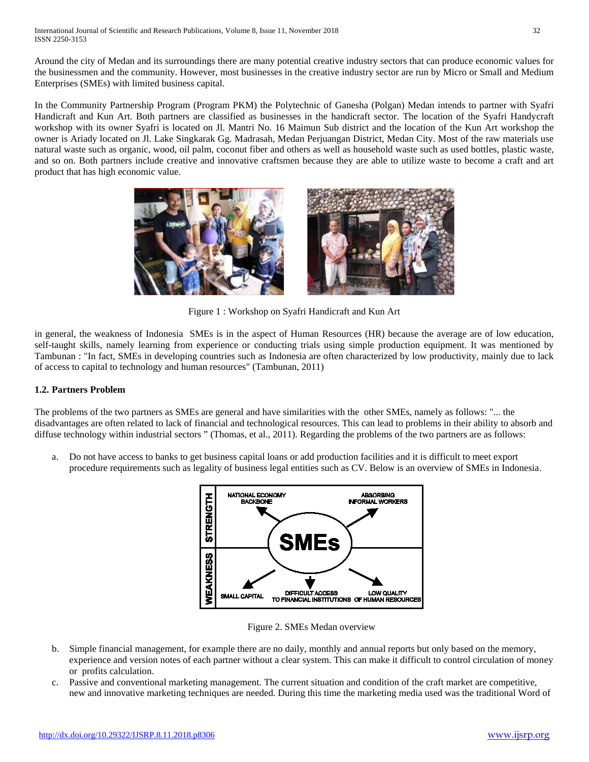Around the city of Medan and its surroundings there are many potential creative industry sectors that can produce economic values for the businessmen and the community. However, most businesses in the creative industry sector are run by Micro or Small and Medium Enterprises (SMEs) with limited business capital.

In the Community Partnership Program (Program PKM) the Polytechnic of Ganesha (Polgan) Medan intends to partner with Syafri Handicraft and Kun Art. Both partners are classified as businesses in the handicraft sector. The location of the Syafri Handycraft workshop with its owner Syafri is located on Jl. Mantri No. 16 Maimun Sub district and the location of the Kun Art workshop the owner is Ariady located on Jl. Lake Singkarak Gg. Madrasah, Medan Perjuangan District, Medan City. Most of the raw materials use natural waste such as organic, wood, oil palm, coconut fiber and others as well as household waste such as used bottles, plastic waste, and so on. Both partners include creative and innovative craftsmen because they are able to utilize waste to become a craft and art product that has high economic value.



Figure 1 : Workshop on Syafri Handicraft and Kun Art

in general, the weakness of Indonesia SMEs is in the aspect of Human Resources (HR) because the average are of low education, self-taught skills, namely learning from experience or conducting trials using simple production equipment. It was mentioned by Tambunan : "In fact, SMEs in developing countries such as Indonesia are often characterized by low productivity, mainly due to lack of access to capital to technology and human resources" (Tambunan, 2011)

## **1.2. Partners Problem**

The problems of the two partners as SMEs are general and have similarities with the other SMEs, namely as follows: "... the disadvantages are often related to lack of financial and technological resources. This can lead to problems in their ability to absorb and diffuse technology within industrial sectors " (Thomas, et al., 2011). Regarding the problems of the two partners are as follows:

a. Do not have access to banks to get business capital loans or add production facilities and it is difficult to meet export procedure requirements such as legality of business legal entities such as CV. Below is an overview of SMEs in Indonesia.



Figure 2. SMEs Medan overview

- b. Simple financial management, for example there are no daily, monthly and annual reports but only based on the memory, experience and version notes of each partner without a clear system. This can make it difficult to control circulation of money or profits calculation.
- c. Passive and conventional marketing management. The current situation and condition of the craft market are competitive, new and innovative marketing techniques are needed. During this time the marketing media used was the traditional Word of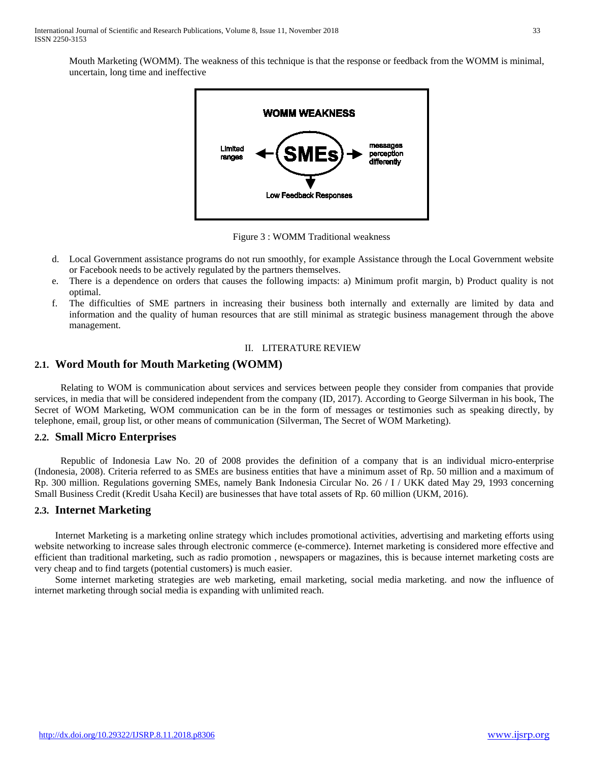Mouth Marketing (WOMM). The weakness of this technique is that the response or feedback from the WOMM is minimal, uncertain, long time and ineffective



Figure 3 : WOMM Traditional weakness

- d. Local Government assistance programs do not run smoothly, for example Assistance through the Local Government website or Facebook needs to be actively regulated by the partners themselves.
- e. There is a dependence on orders that causes the following impacts: a) Minimum profit margin, b) Product quality is not optimal.
- f. The difficulties of SME partners in increasing their business both internally and externally are limited by data and information and the quality of human resources that are still minimal as strategic business management through the above management.

## II. LITERATURE REVIEW

## **2.1. Word Mouth for Mouth Marketing (WOMM)**

Relating to WOM is communication about services and services between people they consider from companies that provide services, in media that will be considered independent from the company (ID, 2017). According to George Silverman in his book, The Secret of WOM Marketing, WOM communication can be in the form of messages or testimonies such as speaking directly, by telephone, email, group list, or other means of communication (Silverman, The Secret of WOM Marketing).

## **2.2. Small Micro Enterprises**

Republic of Indonesia Law No. 20 of 2008 provides the definition of a company that is an individual micro-enterprise (Indonesia, 2008). Criteria referred to as SMEs are business entities that have a minimum asset of Rp. 50 million and a maximum of Rp. 300 million. Regulations governing SMEs, namely Bank Indonesia Circular No. 26 / I / UKK dated May 29, 1993 concerning Small Business Credit (Kredit Usaha Kecil) are businesses that have total assets of Rp. 60 million (UKM, 2016).

### **2.3. Internet Marketing**

Internet Marketing is a marketing online strategy which includes promotional activities, advertising and marketing efforts using website networking to increase sales through electronic commerce (e-commerce). Internet marketing is considered more effective and efficient than traditional marketing, such as radio promotion , newspapers or magazines, this is because internet marketing costs are very cheap and to find targets (potential customers) is much easier.

Some internet marketing strategies are web marketing, email marketing, social media marketing. and now the influence of internet marketing through social media is expanding with unlimited reach.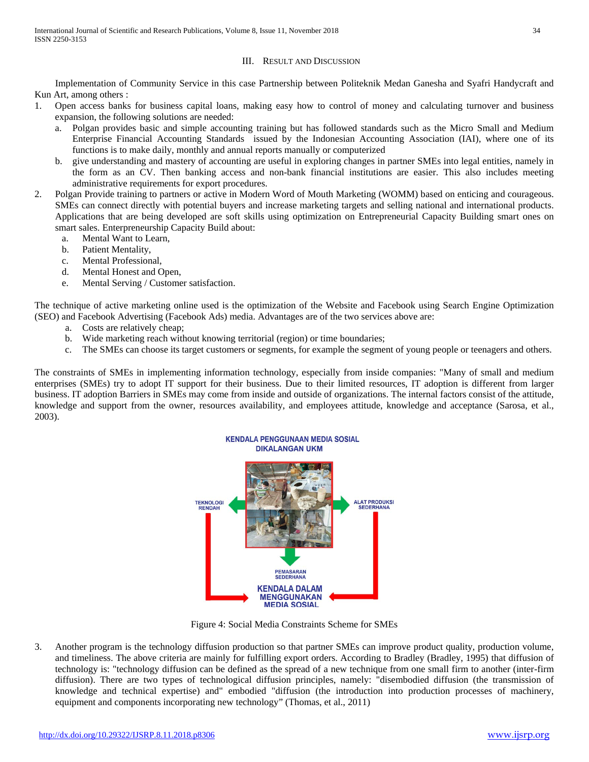## III. RESULT AND DISCUSSION

Implementation of Community Service in this case Partnership between Politeknik Medan Ganesha and Syafri Handycraft and Kun Art, among others :

- 1. Open access banks for business capital loans, making easy how to control of money and calculating turnover and business expansion, the following solutions are needed:
	- a. Polgan provides basic and simple accounting training but has followed standards such as the Micro Small and Medium Enterprise Financial Accounting Standards issued by the Indonesian Accounting Association (IAI), where one of its functions is to make daily, monthly and annual reports manually or computerized
	- b. give understanding and mastery of accounting are useful in exploring changes in partner SMEs into legal entities, namely in the form as an CV. Then banking access and non-bank financial institutions are easier. This also includes meeting administrative requirements for export procedures.
- 2. Polgan Provide training to partners or active in Modern Word of Mouth Marketing (WOMM) based on enticing and courageous. SMEs can connect directly with potential buyers and increase marketing targets and selling national and international products. Applications that are being developed are soft skills using optimization on Entrepreneurial Capacity Building smart ones on smart sales. Enterpreneurship Capacity Build about:
	- a. Mental Want to Learn,
	- b. Patient Mentality,
	- c. Mental Professional,
	- d. Mental Honest and Open,
	- e. Mental Serving / Customer satisfaction.

The technique of active marketing online used is the optimization of the Website and Facebook using Search Engine Optimization (SEO) and Facebook Advertising (Facebook Ads) media. Advantages are of the two services above are:

- a. Costs are relatively cheap;
- b. Wide marketing reach without knowing territorial (region) or time boundaries;
- c. The SMEs can choose its target customers or segments, for example the segment of young people or teenagers and others.

The constraints of SMEs in implementing information technology, especially from inside companies: "Many of small and medium enterprises (SMEs) try to adopt IT support for their business. Due to their limited resources, IT adoption is different from larger business. IT adoption Barriers in SMEs may come from inside and outside of organizations. The internal factors consist of the attitude, knowledge and support from the owner, resources availability, and employees attitude, knowledge and acceptance (Sarosa, et al., 2003).



Figure 4: Social Media Constraints Scheme for SMEs

3. Another program is the technology diffusion production so that partner SMEs can improve product quality, production volume, and timeliness. The above criteria are mainly for fulfilling export orders. According to Bradley (Bradley, 1995) that diffusion of technology is: "technology diffusion can be defined as the spread of a new technique from one small firm to another (inter-firm diffusion). There are two types of technological diffusion principles, namely: "disembodied diffusion (the transmission of knowledge and technical expertise) and" embodied "diffusion (the introduction into production processes of machinery, equipment and components incorporating new technology" (Thomas, et al., 2011)